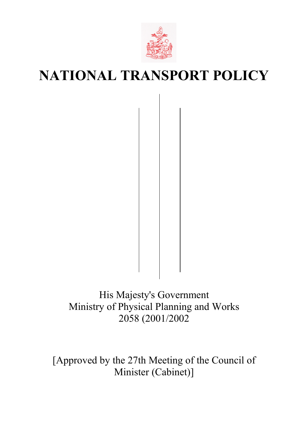

# **NATIONAL TRANSPORT POLICY**

His Majesty's Government Ministry of Physical Planning and Works 2058 (2001/2002

[Approved by the 27th Meeting of the Council of Minister (Cabinet)]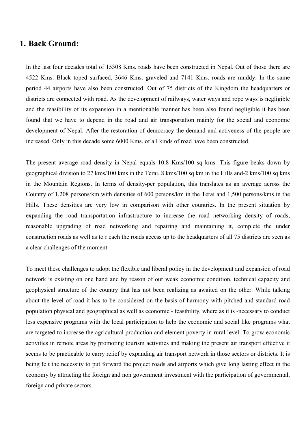## **1. Back Ground:**

In the last four decades total of 15308 Kms. roads have been constructed in Nepal. Out of those there are 4522 Kms. Black toped surfaced, 3646 Kms. graveled and 7141 Kms. roads are muddy. In the same period 44 airports have also been constructed. Out of 75 districts of the Kingdom the headquarters or districts are connected with road. As the development of railways, water ways and rope ways is negligible and the feasibility of its expansion in a mentionable manner has been also found negligible it has been found that we have to depend in the road and air transportation mainly for the social and economic development of Nepal. After the restoration of democracy the demand and activeness of the people are increased. Only in this decade some 6000 Kms. of all kinds of road have been constructed.

The present average road density in Nepal equals 10.8 Kms/100 sq kms. This figure beaks down by geographical division to 27 kms/100 kms in the Terai, 8 kms/100 sq km in the Hills and-2 kms/100 sq kms in the Mountain Regions. In terms of density-per population, this translates as an average across the Country of 1,208 persons/km with densities of 600 persons/km in the Terai and 1,500 persons/kms in the Hills. These densities are very low in comparison with other countries. In the present situation by expanding the road transportation infrastructure to increase the road networking density of roads, reasonable upgrading of road networking and repairing and maintaining it, complete the under construction roads as well as to r each the roads access up to the headquarters of all 75 districts are seen as a clear challenges of the moment.

To meet these challenges to adopt the flexible and liberal policy in the development and expansion of road network is existing on one hand and by reason of our weak economic condition, technical capacity and geophysical structure of the country that has not been realizing as awaited on the other. While talking about the level of road it has to be considered on the basis of harmony with pitched and standard road population physical and geographical as well as economic - feasibility, where as it is -necessary to conduct less expensive programs with the local participation to help the economic and social like programs what are targeted to increase the agricultural production and element poverty in rural level. To grow economic activities in remote areas by promoting tourism activities and making the present air transport effective it seems to be practicable to carry relief by expanding air transport network in those sectors or districts. It is being felt the necessity to put forward the project roads and airports which give long lasting effect in the economy by attracting the foreign and non government investment with the participation of governmental, foreign and private sectors.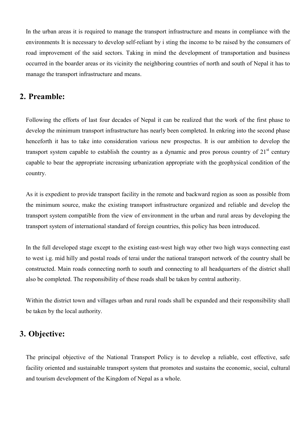In the urban areas it is required to manage the transport infrastructure and means in compliance with the environments It is necessary to develop self-reliant by i sting the income to be raised by the consumers of road improvement of the said sectors. Taking in mind the development of transportation and business occurred in the boarder areas or its vicinity the neighboring countries of north and south of Nepal it has to manage the transport infrastructure and means.

## **2. Preamble:**

Following the efforts of last four decades of Nepal it can be realized that the work of the first phase to develop the minimum transport infrastructure has nearly been completed. In enkring into the second phase henceforth it has to take into consideration various new prospectus. It is our ambition to develop the transport system capable to establish the country as a dynamic and pros porous country of  $21<sup>st</sup>$  century capable to bear the appropriate increasing urbanization appropriate with the geophysical condition of the country.

As it is expedient to provide transport facility in the remote and backward region as soon as possible from the minimum source, make the existing transport infrastructure organized and reliable and develop the transport system compatible from the view of environment in the urban and rural areas by developing the transport system of international standard of foreign countries, this policy has been introduced.

In the full developed stage except to the existing east-west high way other two high ways connecting east to west i.g. mid hilly and postal roads of terai under the national transport network of the country shall be constructed. Main roads connecting north to south and connecting to all headquarters of the district shall also be completed. The responsibility of these roads shall be taken by central authority.

Within the district town and villages urban and rural roads shall be expanded and their responsibility shall be taken by the local authority.

# **3. Objective:**

The principal objective of the National Transport Policy is to develop a reliable, cost effective, safe facility oriented and sustainable transport system that promotes and sustains the economic, social, cultural and tourism development of the Kingdom of Nepal as a whole.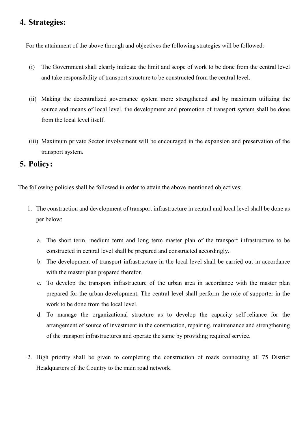# **4. Strategies:**

For the attainment of the above through and objectives the following strategies will be followed:

- (i) The Government shall clearly indicate the limit and scope of work to be done from the central level and take responsibility of transport structure to be constructed from the central level.
- (ii) Making the decentralized governance system more strengthened and by maximum utilizing the source and means of local level, the development and promotion of transport system shall be done from the local level itself.
- (iii) Maximum private Sector involvement will be encouraged in the expansion and preservation of the transport system.

## **5. Policy:**

The following policies shall be followed in order to attain the above mentioned objectives:

- 1. The construction and development of transport infrastructure in central and local level shall be done as per below:
	- a. The short term, medium term and long term master plan of the transport infrastructure to be constructed in central level shall be prepared and constructed accordingly.
	- b. The development of transport infrastructure in the local level shall be carried out in accordance with the master plan prepared therefor.
	- c. To develop the transport infrastructure of the urban area in accordance with the master plan prepared for the urban development. The central level shall perform the role of supporter in the work to be done from the local level.
	- d. To manage the organizational structure as to develop the capacity self-reliance for the arrangement of source of investment in the construction, repairing, maintenance and strengthening of the transport infrastructures and operate the same by providing required service.
- 2. High priority shall be given to completing the construction of roads connecting all 75 District Headquarters of the Country to the main road network.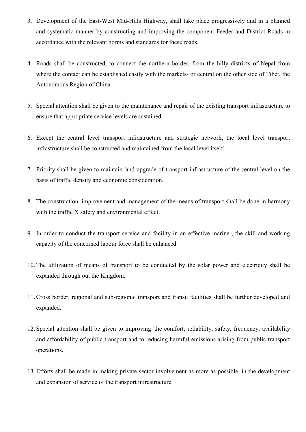- 3. Development of the East-West Mid-Hills Highway, shall take place progressively and in a planned and systematic manner by constructing and improving the component Feeder and District Roads in accordance with the relevant norms and standards for these roads.
- 4. Roads shall be constructed, to connect the northern border, from the hilly districts of Nepal from where the contact can be established easily with the markets- or central on the other side of Tibet, the Autonomous Region of China.
- 5. Special attention shall be given to the maintenance and repair of the existing transport infrastructure to ensure that appropriate service levels are sustained.
- 6. Except the central level transport infrastructure and strategic network, the local level transport infrastructure shall be constructed and maintained from the local level itself.
- 7. Priority shall be given to maintain 'and upgrade of transport infrastructure of the central level on the basis of traffic density and economic consideration.
- 8. The construction, improvement and management of the means of transport shall be done in harmony with the traffic X safety and environmental effect.
- 9. In order to conduct the transport service and facility in an effective mariner, the skill and working capacity of the concerned labour force shall be enhanced.
- 10. The utilization of means of transport to be conducted by the solar power and electricity shall be expanded through out the Kingdom.
- 11. Cross border, regional and sub-regional transport and transit facilities shall be further developed and expanded.
- 12. Special attention shall be given to improving 'the comfort, reliability, safety, frequency, availability and affordability of public transport and to reducing harmful emissions arising from public transport operations.
- 13. Efforts shall be made in making private sector involvement as more as possible, in the development and expansion of service of the transport infrastructure.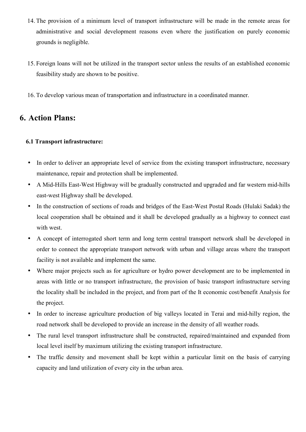- 14. The provision of a minimum level of transport infrastructure will be made in the remote areas for administrative and social development reasons even where the justification on purely economic grounds is negligible.
- 15. Foreign loans will not be utilized in the transport sector unless the results of an established economic feasibility study are shown to be positive.
- 16. To develop various mean of transportation and infrastructure in a coordinated manner.

# **6. Action Plans:**

## **6.1 Transport infrastructure:**

- In order to deliver an appropriate level of service from the existing transport infrastructure, necessary maintenance, repair and protection shall be implemented.
- A Mid-Hills East-West Highway will be gradually constructed and upgraded and far western mid-hills east-west Highway shall be developed.
- In the construction of sections of roads and bridges of the East-West Postal Roads (Hulaki Sadak) the local cooperation shall be obtained and it shall be developed gradually as a highway to connect east with west.
- A concept of interrogated short term and long term central transport network shall be developed in order to connect the appropriate transport network with urban and village areas where the transport facility is not available and implement the same.
- Where major projects such as for agriculture or hydro power development are to be implemented in areas with little or no transport infrastructure, the provision of basic transport infrastructure serving the locality shall be included in the project, and from part of the It economic cost/benefit Analysis for the project.
- In order to increase agriculture production of big valleys located in Terai and mid-hilly region, the road network shall be developed to provide an increase in the density of all weather roads.
- The rural level transport infrastructure shall be constructed, repaired/maintained and expanded from local level itself by maximum utilizing the existing transport infrastructure.
- The traffic density and movement shall be kept within a particular limit on the basis of carrying capacity and land utilization of every city in the urban area.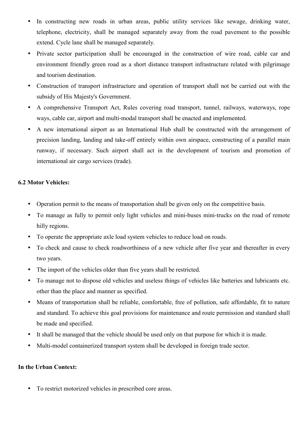- In constructing new roads in urban areas, public utility services like sewage, drinking water, telephone, electricity, shall be managed separately away from the road pavement to the possible extend. Cycle lane shall be managed separately.
- Private sector participation shall be encouraged in the construction of wire road, cable car and environment friendly green road as a short distance transport infrastructure related with pilgrimage and tourism destination.
- Construction of transport infrastructure and operation of transport shall not be carried out with the subsidy of His Majesty's Government.
- A comprehensive Transport Act, Rules covering road transport, tunnel, railways, waterways, rope ways, cable car, airport and multi-modal transport shall be enacted and implemented.
- A new international airport as an International Hub shall be constructed with the arrangement of precision landing, landing and take-off entirely within own airspace, constructing of a parallel main runway, if necessary. Such airport shall act in the development of tourism and promotion of international air cargo services (trade).

## **6.2 Motor Vehicles:**

- Operation permit to the means of transportation shall be given only on the competitive basis.
- To manage as fully to permit only light vehicles and mini-buses mini-trucks on the road of remote hilly regions.
- To operate the appropriate axle load system vehicles to reduce load on roads.
- To check and cause to check roadworthiness of a new vehicle after five year and thereafter in every two years.
- The import of the vehicles older than five years shall be restricted.
- To manage not to dispose old vehicles and useless things of vehicles like batteries and lubricants etc. other than the place and manner as specified.
- Means of transportation shall be reliable, comfortable, free of pollution, safe affordable, fit to nature and standard. To achieve this goal provisions for maintenance and route permission and standard shall be made and specified.
- It shall be managed that the vehicle should be used only on that purpose for which it is made.
- Multi-model containerized transport system shall be developed in foreign trade sector.

## **In the Urban Context:**

• To restrict motorized vehicles in prescribed core areas.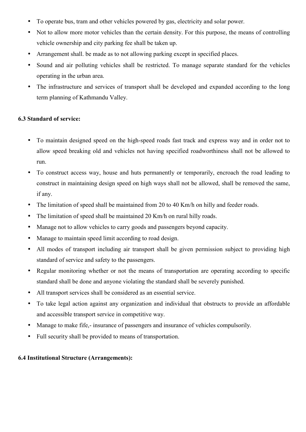- To operate bus, tram and other vehicles powered by gas, electricity and solar power.
- Not to allow more motor vehicles than the certain density. For this purpose, the means of controlling vehicle ownership and city parking fee shall be taken up.
- Arrangement shall. be made as to not allowing parking except in specified places.
- Sound and air polluting vehicles shall be restricted. To manage separate standard for the vehicles operating in the urban area.
- The infrastructure and services of transport shall be developed and expanded according to the long term planning of Kathmandu Valley.

## **6.3 Standard of service:**

- To maintain designed speed on the high-speed roads fast track and express way and in order not to allow speed breaking old and vehicles not having specified roadworthiness shall not be allowed to run.
- To construct access way, house and huts permanently or temporarily, encroach the road leading to construct in maintaining design speed on high ways shall not be allowed, shall be removed the same, if any.
- The limitation of speed shall be maintained from 20 to 40 Km/h on hilly and feeder roads.
- The limitation of speed shall be maintained 20 Km/h on rural hilly roads.
- Manage not to allow vehicles to carry goods and passengers beyond capacity.
- Manage to maintain speed limit according to road design.
- All modes of transport including air transport shall be given permission subject to providing high standard of service and safety to the passengers.
- Regular monitoring whether or not the means of transportation are operating according to specific standard shall be done and anyone violating the standard shall be severely punished.
- All transport services shall be considered as an essential service.
- To take legal action against any organization and individual that obstructs to provide an affordable and accessible transport service in competitive way.
- Manage to make fife,- insurance of passengers and insurance of vehicles compulsorily.
- Full security shall be provided to means of transportation.

## **6.4 Institutional Structure (Arrangements):**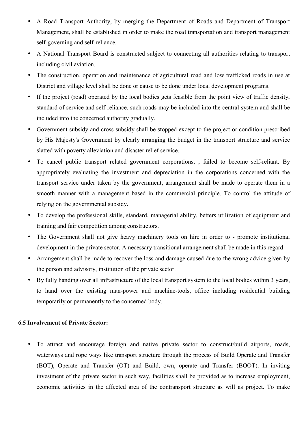- A Road Transport Authority, by merging the Department of Roads and Department of Transport Management, shall be established in order to make the road transportation and transport management self-governing and self-reliance.
- A National Transport Board is constructed subject to connecting all authorities relating to transport including civil aviation.
- The construction, operation and maintenance of agricultural road and low trafficked roads in use at District and village level shall be done or cause to be done under local development programs.
- If the project (road) operated by the local bodies gets feasible from the point view of traffic density, standard of service and self-reliance, such roads may be included into the central system and shall be included into the concerned authority gradually.
- Government subsidy and cross subsidy shall be stopped except to the project or condition prescribed by His Majesty's Government by clearly arranging the budget in the transport structure and service slatted with poverty alleviation and disaster relief service.
- To cancel public transport related government corporations, , failed to become self-reliant. By appropriately evaluating the investment and depreciation in the corporations concerned with the transport service under taken by the government, arrangement shall be made to operate them in a smooth manner with a management based in the commercial principle. To control the attitude of relying on the governmental subsidy.
- To develop the professional skills, standard, managerial ability, betters utilization of equipment and training and fair competition among constructors.
- The Government shall not give heavy machinery tools on hire in order to promote institutional development in the private sector. A necessary transitional arrangement shall be made in this regard.
- Arrangement shall be made to recover the loss and damage caused due to the wrong advice given by the person and advisory, institution of the private sector.
- By fully handing over all infrastructure of the local transport system to the local bodies within 3 years, to hand over the existing man-power and machine-tools, office including residential building temporarily or permanently to the concerned body.

## **6.5 Involvement of Private Sector:**

• To attract and encourage foreign and native private sector to construct/build airports, roads, waterways and rope ways like transport structure through the process of Build Operate and Transfer (BOT), Operate and Transfer (OT) and Build, own, operate and Transfer (BOOT). In inviting investment of the private sector in such way, facilities shall be provided as to increase employment, economic activities in the affected area of the contransport structure as will as project. To make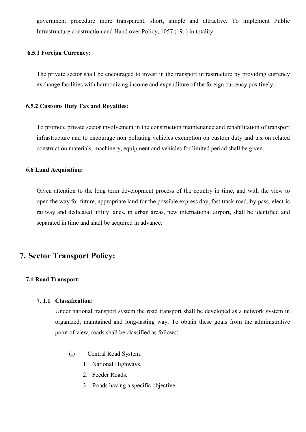government procedure more transparent, short, simple and attractive. To implement Public Infrastructure construction and Hand over Policy, 1057 (19..) in totality.

### **6.5.1 Foreign Currency:**

The private sector shall be encouraged to invest in the transport infrastructure by providing currency exchange facilities with harmonizing income and expenditure of the foreign currency positively.

#### **6.5.2 Customs Duty Tax and Royalties:**

To promote private sector involvement in the construction maintenance and rehabilitation of transport infrastructure and to encourage non polluting vehicles exemption on custom duty and tax on related construction materials, machinery, equipment and vehicles for limited period shall be given.

## **6.6 Land Acquisition:**

Given attention to the long term development process of the country in time, and with the view to open the way for future, appropriate land for the possible express day, fast track road, by-pass, electric railway and dedicated utility lanes, in urban areas, new international airport, shall be identified and separated in time and shall be acquired in advance.

## **7. Sector Transport Policy:**

## **7.1 Road Transport:**

## **7. 1.1 Classification:**

Under national transport system the road transport shall be developed as a network system in organized, maintained and long-lasting way. To obtain these goals from the administrative point of view, roads shall be classified as follows:

- (i) Central Road System:
	- 1. National Highways.
	- 2. Feeder Roads.
	- 3. Roads having a specific objective.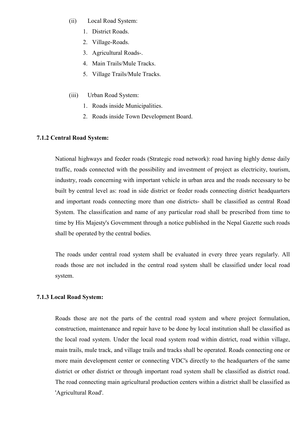- (ii) Local Road System:
	- 1. District Roads.
	- 2. Village-Roads.
	- 3. Agricultural Roads-.
	- 4. Main Trails/Mule Tracks.
	- 5. Village Trails/Mule Tracks.
- (iii) Urban Road System:
	- 1. Roads inside Municipalities.
	- 2. Roads inside Town Development Board.

## **7.1.2 Central Road System:**

National highways and feeder roads (Strategic road network): road having highly dense daily traffic, roads connected with the possibility and investment of project as electricity, tourism, industry, roads concerning with important vehicle in urban area and the roads necessary to be built by central level as: road in side district or feeder roads connecting district headquarters and important roads connecting more than one districts- shall be classified as central Road System. The classification and name of any particular road shall be prescribed from time to time by His Majesty's Government through a notice published in the Nepal Gazette such roads shall be operated by the central bodies.

The roads under central road system shall be evaluated in every three years regularly. All roads those are not included in the central road system shall be classified under local road system.

## **7.1.3 Local Road System:**

Roads those are not the parts of the central road system and where project formulation, construction, maintenance and repair have to be done by local institution shall be classified as the local road system. Under the local road system road within district, road within village, main trails, mule track, and village trails and tracks shall be operated. Roads connecting one or more main development center or connecting VDC's directly to the headquarters of the same district or other district or through important road system shall be classified as district road. The road connecting main agricultural production centers within a district shall be classified as 'Agricultural Road'.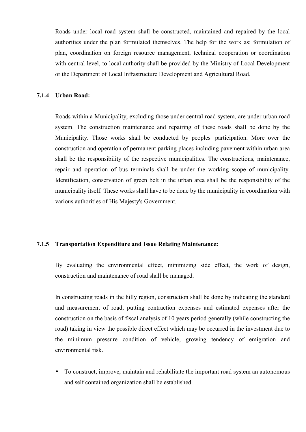Roads under local road system shall be constructed, maintained and repaired by the local authorities under the plan formulated themselves. The help for the work as: formulation of plan, coordination on foreign resource management, technical cooperation or coordination with central level, to local authority shall be provided by the Ministry of Local Development or the Department of Local Infrastructure Development and Agricultural Road.

### **7.1.4 Urban Road:**

Roads within a Municipality, excluding those under central road system, are under urban road system. The construction maintenance and repairing of these roads shall be done by the Municipality. Those works shall be conducted by peoples' participation. More over the construction and operation of permanent parking places including pavement within urban area shall be the responsibility of the respective municipalities. The constructions, maintenance, repair and operation of bus terminals shall be under the working scope of municipality. Identification, conservation of green belt in the urban area shall be the responsibility of the municipality itself. These works shall have to be done by the municipality in coordination with various authorities of His Majesty's Government.

## **7.1.5 Transportation Expenditure and Issue Relating Maintenance:**

By evaluating the environmental effect, minimizing side effect, the work of design, construction and maintenance of road shall be managed.

In constructing roads in the hilly region, construction shall be done by indicating the standard and measurement of road, putting contraction expenses and estimated expenses after the construction on the basis of fiscal analysis of 10 years period generally (while constructing the road) taking in view the possible direct effect which may be occurred in the investment due to the minimum pressure condition of vehicle, growing tendency of emigration and environmental risk.

• To construct, improve, maintain and rehabilitate the important road system an autonomous and self contained organization shall be established.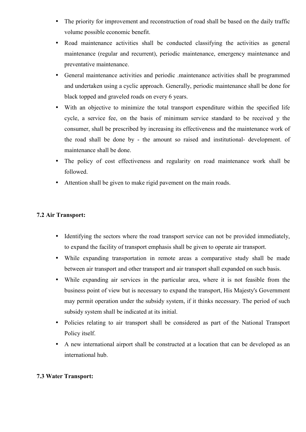- The priority for improvement and reconstruction of road shall be based on the daily traffic volume possible economic benefit.
- Road maintenance activities shall be conducted classifying the activities as general maintenance (regular and recurrent), periodic maintenance, emergency maintenance and preventative maintenance.
- General maintenance activities and periodic .maintenance activities shall be programmed and undertaken using a cyclic approach. Generally, periodic maintenance shall be done for black topped and graveled roads on every 6 years.
- With an objective to minimize the total transport expenditure within the specified life cycle, a service fee, on the basis of minimum service standard to be received y the consumer, shall be prescribed by increasing its effectiveness and the maintenance work of the road shall be done by - the amount so raised and institutional- development. of maintenance shall be done.
- The policy of cost effectiveness and regularity on road maintenance work shall be followed.
- Attention shall be given to make rigid pavement on the main roads.

## **7.2 Air Transport:**

- Identifying the sectors where the road transport service can not be provided immediately, to expand the facility of transport emphasis shall be given to operate air transport.
- While expanding transportation in remote areas a comparative study shall be made between air transport and other transport and air transport shall expanded on such basis.
- While expanding air services in the particular area, where it is not feasible from the business point of view but is necessary to expand the transport, His Majesty's Government may permit operation under the subsidy system, if it thinks necessary. The period of such subsidy system shall be indicated at its initial.
- Policies relating to air transport shall be considered as part of the National Transport Policy itself.
- A new international airport shall be constructed at a location that can be developed as an international hub.

## **7.3 Water Transport:**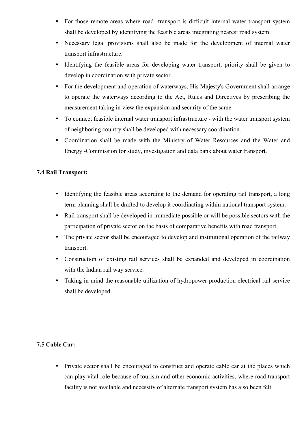- For those remote areas where road -transport is difficult internal water transport system shall be developed by identifying the feasible areas integrating nearest road system.
- Necessary legal provisions shall also be made for the development of internal water transport infrastructure.
- Identifying the feasible areas for developing water transport, priority shall be given to develop in coordination with private sector.
- For the development and operation of waterways, His Majesty's Government shall arrange to operate the waterways according to the Act, Rules and Directives by prescribing the measurement taking in view the expansion and security of the same.
- To connect feasible internal water transport infrastructure with the water transport system of neighboring country shall be developed with necessary coordination.
- Coordination shall be made with the Ministry of Water Resources and the Water and Energy -Commission for study, investigation and data bank about water transport.

## **7.4 Rail Transport:**

- Identifying the feasible areas according to the demand for operating rail transport, a long term planning shall be drafted to develop it coordinating within national transport system.
- Rail transport shall be developed in immediate possible or will be possible sectors with the participation of private sector on the basis of comparative benefits with road transport.
- The private sector shall be encouraged to develop and institutional operation of the railway transport.
- Construction of existing rail services shall be expanded and developed in coordination with the Indian rail way service.
- Taking in mind the reasonable utilization of hydropower production electrical rail service shall be developed.

## **7.5 Cable Car:**

• Private sector shall be encouraged to construct and operate cable car at the places which can play vital role because of tourism and other economic activities, where road transport facility is not available and necessity of alternate transport system has also been felt.